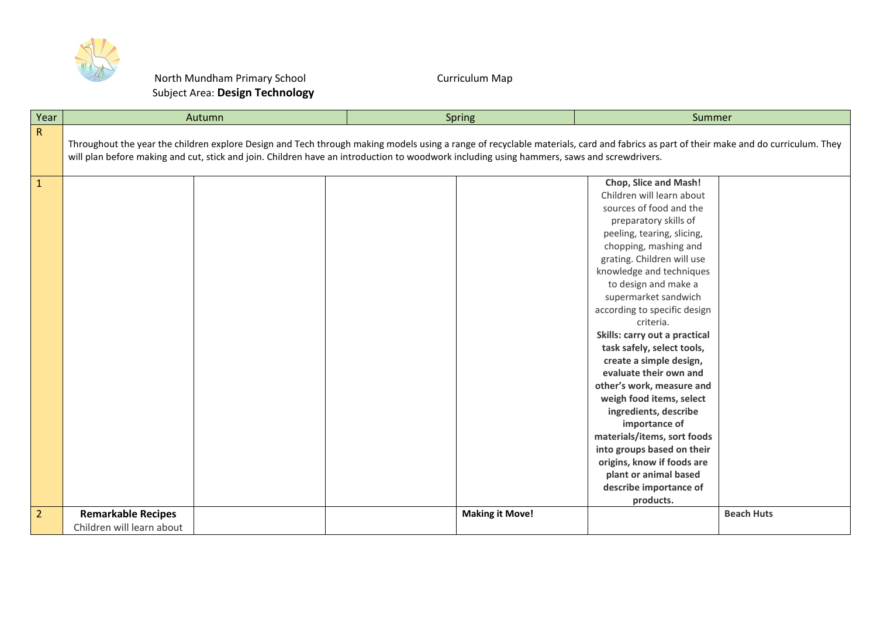

## North Mundham Primary School Subject Area: **Design Technology**

## Curriculum Map

| Year           | Autumn                                                                                                                                                                                                                                                                                                                             |  | Spring                 | Summer                                                                                                                                                                                                                                                                                                                                                                                                                                                                                                                                                                                                                                                                                                        |                   |  |
|----------------|------------------------------------------------------------------------------------------------------------------------------------------------------------------------------------------------------------------------------------------------------------------------------------------------------------------------------------|--|------------------------|---------------------------------------------------------------------------------------------------------------------------------------------------------------------------------------------------------------------------------------------------------------------------------------------------------------------------------------------------------------------------------------------------------------------------------------------------------------------------------------------------------------------------------------------------------------------------------------------------------------------------------------------------------------------------------------------------------------|-------------------|--|
| R              | Throughout the year the children explore Design and Tech through making models using a range of recyclable materials, card and fabrics as part of their make and do curriculum. They<br>will plan before making and cut, stick and join. Children have an introduction to woodwork including using hammers, saws and screwdrivers. |  |                        |                                                                                                                                                                                                                                                                                                                                                                                                                                                                                                                                                                                                                                                                                                               |                   |  |
| $\mathbf{1}$   |                                                                                                                                                                                                                                                                                                                                    |  |                        | <b>Chop, Slice and Mash!</b><br>Children will learn about<br>sources of food and the<br>preparatory skills of<br>peeling, tearing, slicing,<br>chopping, mashing and<br>grating. Children will use<br>knowledge and techniques<br>to design and make a<br>supermarket sandwich<br>according to specific design<br>criteria.<br>Skills: carry out a practical<br>task safely, select tools,<br>create a simple design,<br>evaluate their own and<br>other's work, measure and<br>weigh food items, select<br>ingredients, describe<br>importance of<br>materials/items, sort foods<br>into groups based on their<br>origins, know if foods are<br>plant or animal based<br>describe importance of<br>products. |                   |  |
| $\overline{2}$ | <b>Remarkable Recipes</b><br>Children will learn about                                                                                                                                                                                                                                                                             |  | <b>Making it Move!</b> |                                                                                                                                                                                                                                                                                                                                                                                                                                                                                                                                                                                                                                                                                                               | <b>Beach Huts</b> |  |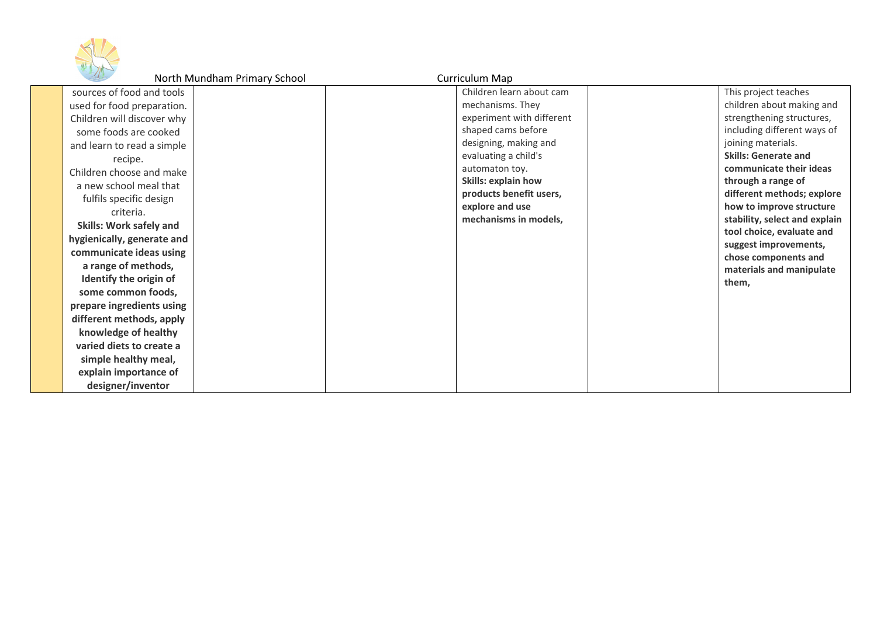

|                                | North Mundham Primary School | Curriculum Map            |                                               |
|--------------------------------|------------------------------|---------------------------|-----------------------------------------------|
| sources of food and tools      |                              | Children learn about cam  | This project teaches                          |
| used for food preparation.     |                              | mechanisms. They          | children about making and                     |
| Children will discover why     |                              | experiment with different | strengthening structures,                     |
| some foods are cooked          |                              | shaped cams before        | including different ways of                   |
| and learn to read a simple     |                              | designing, making and     | joining materials.                            |
| recipe.                        |                              | evaluating a child's      | <b>Skills: Generate and</b>                   |
| Children choose and make       |                              | automaton toy.            | communicate their ideas                       |
| a new school meal that         |                              | Skills: explain how       | through a range of                            |
| fulfils specific design        |                              | products benefit users,   | different methods; explore                    |
| criteria.                      |                              | explore and use           | how to improve structure                      |
| <b>Skills: Work safely and</b> |                              | mechanisms in models,     | stability, select and explain                 |
| hygienically, generate and     |                              |                           | tool choice, evaluate and                     |
| communicate ideas using        |                              |                           | suggest improvements,<br>chose components and |
| a range of methods,            |                              |                           | materials and manipulate                      |
| Identify the origin of         |                              |                           | them,                                         |
| some common foods,             |                              |                           |                                               |
| prepare ingredients using      |                              |                           |                                               |
| different methods, apply       |                              |                           |                                               |
| knowledge of healthy           |                              |                           |                                               |
| varied diets to create a       |                              |                           |                                               |
| simple healthy meal,           |                              |                           |                                               |
| explain importance of          |                              |                           |                                               |
| designer/inventor              |                              |                           |                                               |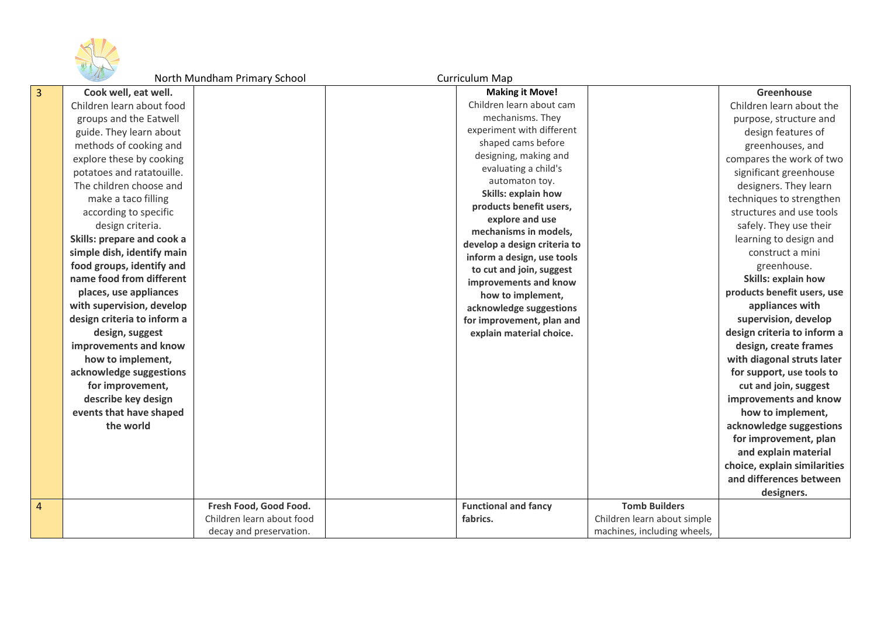

North Mundham Primary School Curriculum Map

| 3 | Cook well, eat well.        |                           | <b>Making it Move!</b>                                     |                             | Greenhouse                   |
|---|-----------------------------|---------------------------|------------------------------------------------------------|-----------------------------|------------------------------|
|   | Children learn about food   |                           | Children learn about cam                                   |                             | Children learn about the     |
|   | groups and the Eatwell      |                           | mechanisms. They                                           |                             | purpose, structure and       |
|   | guide. They learn about     |                           | experiment with different                                  |                             | design features of           |
|   | methods of cooking and      |                           | shaped cams before                                         |                             | greenhouses, and             |
|   | explore these by cooking    |                           | designing, making and                                      |                             | compares the work of two     |
|   | potatoes and ratatouille.   |                           | evaluating a child's                                       |                             | significant greenhouse       |
|   | The children choose and     |                           | automaton toy.                                             |                             | designers. They learn        |
|   | make a taco filling         |                           | Skills: explain how                                        |                             | techniques to strengthen     |
|   | according to specific       |                           | products benefit users,                                    |                             | structures and use tools     |
|   | design criteria.            |                           | explore and use                                            |                             | safely. They use their       |
|   | Skills: prepare and cook a  |                           | mechanisms in models,                                      |                             | learning to design and       |
|   | simple dish, identify main  |                           | develop a design criteria to<br>inform a design, use tools |                             | construct a mini             |
|   | food groups, identify and   |                           | to cut and join, suggest                                   |                             | greenhouse.                  |
|   | name food from different    |                           | improvements and know                                      |                             | <b>Skills: explain how</b>   |
|   | places, use appliances      |                           | how to implement,                                          |                             | products benefit users, use  |
|   | with supervision, develop   |                           | acknowledge suggestions                                    |                             | appliances with              |
|   | design criteria to inform a |                           | for improvement, plan and                                  |                             | supervision, develop         |
|   | design, suggest             |                           | explain material choice.                                   |                             | design criteria to inform a  |
|   | improvements and know       |                           |                                                            |                             | design, create frames        |
|   | how to implement,           |                           |                                                            |                             | with diagonal struts later   |
|   | acknowledge suggestions     |                           |                                                            |                             | for support, use tools to    |
|   | for improvement,            |                           |                                                            |                             | cut and join, suggest        |
|   | describe key design         |                           |                                                            |                             | improvements and know        |
|   | events that have shaped     |                           |                                                            |                             | how to implement,            |
|   | the world                   |                           |                                                            |                             | acknowledge suggestions      |
|   |                             |                           |                                                            |                             | for improvement, plan        |
|   |                             |                           |                                                            |                             | and explain material         |
|   |                             |                           |                                                            |                             | choice, explain similarities |
|   |                             |                           |                                                            |                             | and differences between      |
|   |                             |                           |                                                            |                             | designers.                   |
| 4 |                             | Fresh Food, Good Food.    | <b>Functional and fancy</b>                                | <b>Tomb Builders</b>        |                              |
|   |                             | Children learn about food | fabrics.                                                   | Children learn about simple |                              |
|   |                             | decay and preservation.   |                                                            | machines, including wheels, |                              |

4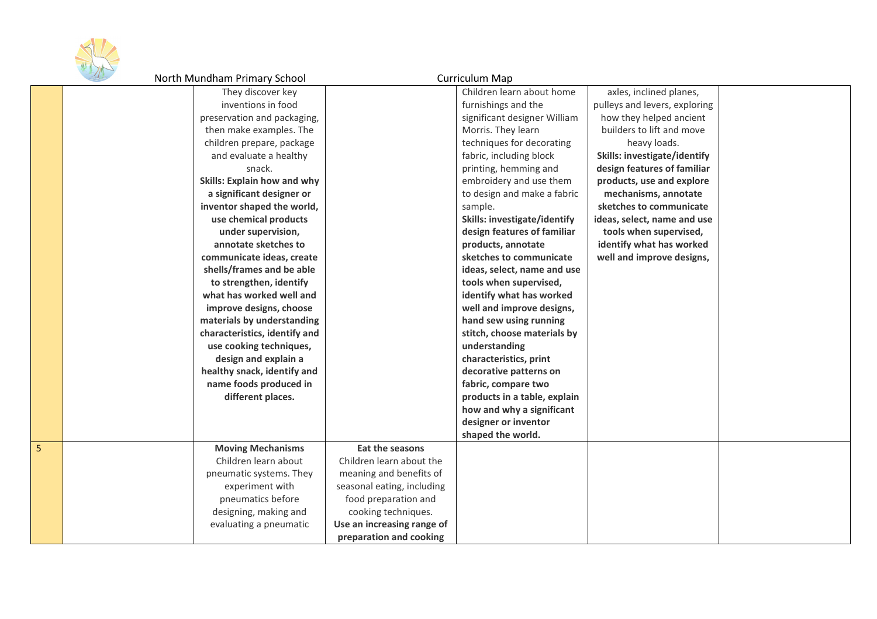

| $\mathcal{L}$ | North Mundham Primary School  |                            | <b>Curriculum Map</b>        |                               |  |
|---------------|-------------------------------|----------------------------|------------------------------|-------------------------------|--|
|               | They discover key             |                            | Children learn about home    | axles, inclined planes,       |  |
|               | inventions in food            |                            | furnishings and the          | pulleys and levers, exploring |  |
|               | preservation and packaging,   |                            | significant designer William | how they helped ancient       |  |
|               | then make examples. The       |                            | Morris. They learn           | builders to lift and move     |  |
|               | children prepare, package     |                            | techniques for decorating    | heavy loads.                  |  |
|               | and evaluate a healthy        |                            | fabric, including block      | Skills: investigate/identify  |  |
|               | snack.                        |                            | printing, hemming and        | design features of familiar   |  |
|               | Skills: Explain how and why   |                            | embroidery and use them      | products, use and explore     |  |
|               | a significant designer or     |                            | to design and make a fabric  | mechanisms, annotate          |  |
|               | inventor shaped the world,    |                            | sample.                      | sketches to communicate       |  |
|               | use chemical products         |                            | Skills: investigate/identify | ideas, select, name and use   |  |
|               | under supervision,            |                            | design features of familiar  | tools when supervised,        |  |
|               | annotate sketches to          |                            | products, annotate           | identify what has worked      |  |
|               | communicate ideas, create     |                            | sketches to communicate      | well and improve designs,     |  |
|               | shells/frames and be able     |                            | ideas, select, name and use  |                               |  |
|               | to strengthen, identify       |                            | tools when supervised,       |                               |  |
|               | what has worked well and      |                            | identify what has worked     |                               |  |
|               | improve designs, choose       |                            | well and improve designs,    |                               |  |
|               | materials by understanding    |                            | hand sew using running       |                               |  |
|               | characteristics, identify and |                            | stitch, choose materials by  |                               |  |
|               | use cooking techniques,       |                            | understanding                |                               |  |
|               | design and explain a          |                            | characteristics, print       |                               |  |
|               | healthy snack, identify and   |                            | decorative patterns on       |                               |  |
|               | name foods produced in        |                            | fabric, compare two          |                               |  |
|               | different places.             |                            | products in a table, explain |                               |  |
|               |                               |                            | how and why a significant    |                               |  |
|               |                               |                            | designer or inventor         |                               |  |
|               |                               |                            | shaped the world.            |                               |  |
|               | <b>Moving Mechanisms</b>      | Eat the seasons            |                              |                               |  |
|               | Children learn about          | Children learn about the   |                              |                               |  |
|               | pneumatic systems. They       | meaning and benefits of    |                              |                               |  |
|               | experiment with               | seasonal eating, including |                              |                               |  |
|               | pneumatics before             | food preparation and       |                              |                               |  |
|               | designing, making and         | cooking techniques.        |                              |                               |  |
|               | evaluating a pneumatic        | Use an increasing range of |                              |                               |  |
|               |                               | preparation and cooking    |                              |                               |  |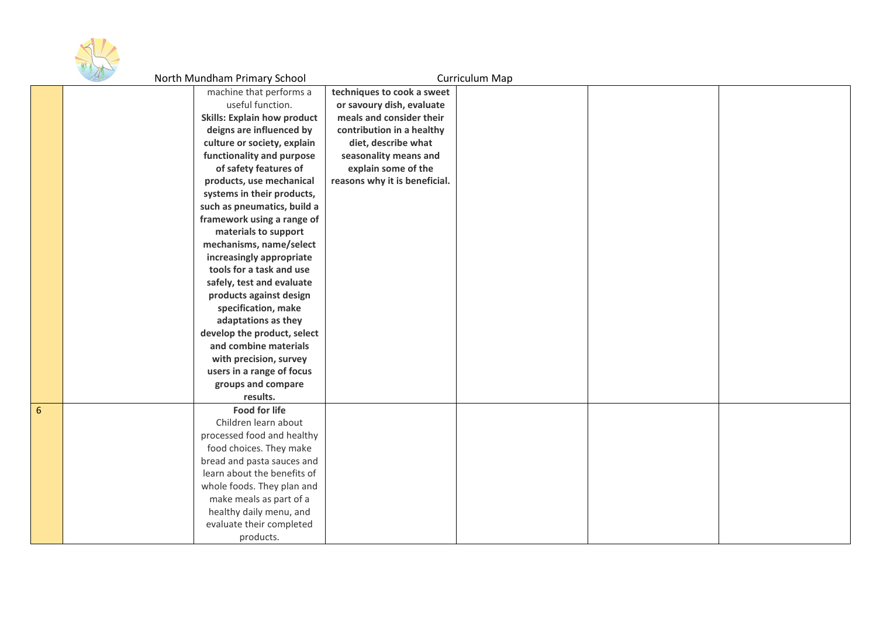

|   | $\mathcal{A}$ | North Mundham Primary School       |                               | Curriculum Map |  |
|---|---------------|------------------------------------|-------------------------------|----------------|--|
|   |               | machine that performs a            | techniques to cook a sweet    |                |  |
|   |               | useful function.                   | or savoury dish, evaluate     |                |  |
|   |               | <b>Skills: Explain how product</b> | meals and consider their      |                |  |
|   |               | deigns are influenced by           | contribution in a healthy     |                |  |
|   |               | culture or society, explain        | diet, describe what           |                |  |
|   |               | functionality and purpose          | seasonality means and         |                |  |
|   |               | of safety features of              | explain some of the           |                |  |
|   |               | products, use mechanical           | reasons why it is beneficial. |                |  |
|   |               | systems in their products,         |                               |                |  |
|   |               | such as pneumatics, build a        |                               |                |  |
|   |               | framework using a range of         |                               |                |  |
|   |               | materials to support               |                               |                |  |
|   |               | mechanisms, name/select            |                               |                |  |
|   |               | increasingly appropriate           |                               |                |  |
|   |               | tools for a task and use           |                               |                |  |
|   |               | safely, test and evaluate          |                               |                |  |
|   |               | products against design            |                               |                |  |
|   |               | specification, make                |                               |                |  |
|   |               | adaptations as they                |                               |                |  |
|   |               | develop the product, select        |                               |                |  |
|   |               | and combine materials              |                               |                |  |
|   |               | with precision, survey             |                               |                |  |
|   |               | users in a range of focus          |                               |                |  |
|   |               | groups and compare                 |                               |                |  |
|   |               | results.                           |                               |                |  |
| 6 |               | <b>Food for life</b>               |                               |                |  |
|   |               | Children learn about               |                               |                |  |
|   |               | processed food and healthy         |                               |                |  |
|   |               | food choices. They make            |                               |                |  |
|   |               | bread and pasta sauces and         |                               |                |  |
|   |               | learn about the benefits of        |                               |                |  |
|   |               | whole foods. They plan and         |                               |                |  |
|   |               | make meals as part of a            |                               |                |  |
|   |               | healthy daily menu, and            |                               |                |  |
|   |               | evaluate their completed           |                               |                |  |
|   |               | products.                          |                               |                |  |